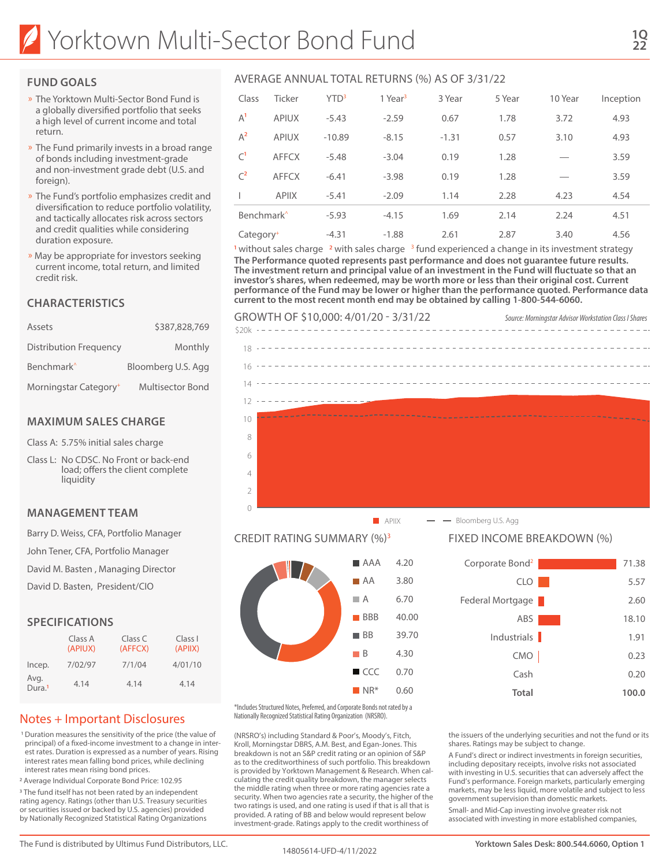### **FUND GOALS**

- » The Yorktown Multi-Sector Bond Fund is a globally diversified portfolio that seeks a high level of current income and total return.
- » The Fund primarily invests in a broad range of bonds including investment-grade and non-investment grade debt (U.S. and foreign).
- » The Fund's portfolio emphasizes credit and diversification to reduce portfolio volatility, and tactically allocates risk across sectors and credit qualities while considering duration exposure.
- » May be appropriate for investors seeking current income, total return, and limited credit risk.

### **CHARACTERISTICS**

| Assets                            | \$387,828,769           |
|-----------------------------------|-------------------------|
| Distribution Frequency            | Monthly                 |
| Benchmark <sup>^</sup>            | Bloomberg U.S. Agg      |
| Morningstar Category <sup>+</sup> | <b>Multisector Bond</b> |

#### **MAXIMUM SALES CHARGE**

Class A: 5.75% initial sales charge

Class L: No CDSC. No Front or back-end load; offers the client complete liquidity

#### **MANAGEMENT TEAM**

Barry D. Weiss, CFA, Portfolio Manager

John Tener, CFA, Portfolio Manager

David M. Basten , Managing Director

David D. Basten, President/CIO

### **SPECIFICATIONS**

|                            | Class A<br>(APIUX) | Class C<br>(AFFCX) | Class I<br>(APIIX) |
|----------------------------|--------------------|--------------------|--------------------|
| Incep.                     | 7/02/97            | 7/1/04             | 4/01/10            |
| Avg.<br>Dura. <sup>1</sup> | 4.14               | 4.14               | 4.14               |

# Notes + Important Disclosures

1 Duration measures the sensitivity of the price (the value of principal) of a fixed-income investment to a change in interest rates. Duration is expressed as a number of years. Rising interest rates mean falling bond prices, while declining interest rates mean rising bond prices.

2 Average Individual Corporate Bond Price: 102.95

<sup>3</sup> The fund itself has not been rated by an independent rating agency. Ratings (other than U.S. Treasury securities or securities issued or backed by U.S. agencies) provided by Nationally Recognized Statistical Rating Organizations

| Class                  | Ticker       | YTD <sup>3</sup> | 1 Year <sup>3</sup> | 3 Year  | 5 Year | 10 Year | Inception |
|------------------------|--------------|------------------|---------------------|---------|--------|---------|-----------|
| $A^1$                  | <b>APIUX</b> | $-5.43$          | $-2.59$             | 0.67    | 1.78   | 3.72    | 4.93      |
| $A^2$                  | <b>APIUX</b> | $-10.89$         | $-8.15$             | $-1.31$ | 0.57   | 3.10    | 4.93      |
| C <sup>1</sup>         | <b>AFFCX</b> | $-5.48$          | $-3.04$             | 0.19    | 1.28   | –       | 3.59      |
| $C^2$                  | <b>AFFCX</b> | $-6.41$          | $-3.98$             | 0.19    | 1.28   |         | 3.59      |
|                        | <b>APIIX</b> | $-5.41$          | $-2.09$             | 1.14    | 2.28   | 4.23    | 4.54      |
| Benchmark <sup>^</sup> |              | $-5.93$          | $-4.15$             | 1.69    | 2.14   | 2.24    | 4.51      |
| Category <sup>+</sup>  |              | $-4.31$          | $-1.88$             | 2.61    | 2.87   | 3.40    | 4.56      |

<sup>1</sup> without sales charge  $\sqrt{2}$  with sales charge  $\sqrt{3}$  fund experienced a change in its investment strategy **The Performance quoted represents past performance and does not guarantee future results. The investment return and principal value of an investment in the Fund will fluctuate so that an investor's shares, when redeemed, may be worth more or less than their original cost. Current performance of the Fund may be lower or higher than the performance quoted. Performance data current to the most recent month end may be obtained by calling 1-800-544-6060.**



# CREDIT RATING SUMMARY (%)3



\*Includes Structured Notes, Preferred, and Corporate Bonds not rated by a Nationally Recognized Statistical Rating Organization (NRSRO).

(NRSRO's) including Standard & Poor's, Moody's, Fitch, Kroll, Morningstar DBRS, A.M. Best, and Egan-Jones. This breakdown is not an S&P credit rating or an opinion of S&P as to the creditworthiness of such portfolio. This breakdown is provided by Yorktown Management & Research. When calculating the credit quality breakdown, the manager selects the middle rating when three or more rating agencies rate a security. When two agencies rate a security, the higher of the two ratings is used, and one rating is used if that is all that is provided. A rating of BB and below would represent below investment-grade. Ratings apply to the credit worthiness of

#### $\blacksquare$  APIIX  $\blacksquare$  Bloomberg U.S. Agg

#### FIXED INCOME BREAKDOWN (%)

| Corporate Bond <sup>2</sup> | 71.38 |
|-----------------------------|-------|
| <b>CLO</b>                  | 5.57  |
| Federal Mortgage            | 2.60  |
| ABS                         | 18.10 |
| Industrials                 | 1.91  |
| CMO                         | 0.23  |
| Cash                        | 0.20  |
| Total                       | 100.0 |

the issuers of the underlying securities and not the fund or its shares. Ratings may be subject to change.

A Fund's direct or indirect investments in foreign securities, including depositary receipts, involve risks not associated with investing in U.S. securities that can adversely affect the Fund's performance. Foreign markets, particularly emerging markets, may be less liquid, more volatile and subject to less government supervision than domestic markets.

Small- and Mid-Cap investing involve greater risk not associated with investing in more established companies,